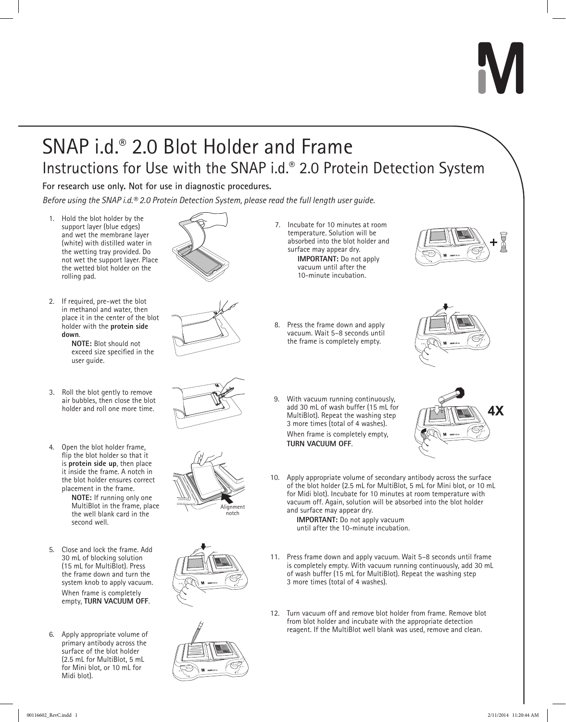# SNAP i.d.® 2.0 Blot Holder and Frame Instructions for Use with the SNAP i.d.® 2.0 Protein Detection System

**For research use only. Not for use in diagnostic procedures.**

*Before using the SNAP i.d.® 2.0 Protein Detection System, please read the full length user guide.*

- 1. Hold the blot holder by the support layer (blue edges) and wet the membrane layer (white) with distilled water in the wetting tray provided. Do not wet the support layer. Place the wetted blot holder on the rolling pad.
- 2. If required, pre-wet the blot in methanol and water, then place it in the center of the blot holder with the **protein side down**.

**NOTE:** Blot should not exceed size specified in the user guide.

- 3. Roll the blot gently to remove air bubbles, then close the blot
- 4. Open the blot holder frame, flip the blot holder so that it is **protein side up**, then place it inside the frame. A notch in the blot holder ensures correct placement in the frame.

**NOTE:** If running only one MultiBlot in the frame, place the well blank card in the second well.

- 5. Close and lock the frame. Add 30 mL of blocking solution (15 mL for MultiBlot). Press the frame down and turn the system knob to apply vacuum. When frame is completely empty, **TURN VACUUM OFF**.
- 6. Apply appropriate volume of primary antibody across the surface of the blot holder (2.5 mL for MultiBlot, 5 mL for Mini blot, or 10 mL for Midi blot).







- 7. Incubate for 10 minutes at room temperature. Solution will be absorbed into the blot holder and surface may appear dry. **IMPORTANT:** Do not apply vacuum until after the 10-minute incubation.
- 8. Press the frame down and apply vacuum. Wait 5–8 seconds until the frame is completely empty.





9. With vacuum running continuously, add 30 mL of wash buffer (15 mL for holder and roll one more time.<br>MultiBlot). Repeat the washing step **AX**<br>MultiBlot). Repeat the washing step **AX** 3 more times (total of 4 washes). When frame is completely empty, **TURN VACUUM OFF**.



10. Apply appropriate volume of secondary antibody across the surface of the blot holder (2.5 mL for MultiBlot, 5 mL for Mini blot, or 10 mL for Midi blot). Incubate for 10 minutes at room temperature with vacuum off. Again, solution will be absorbed into the blot holder and surface may appear dry.

**IMPORTANT:** Do not apply vacuum until after the 10-minute incubation.

- 11. Press frame down and apply vacuum. Wait 5–8 seconds until frame is completely empty. With vacuum running continuously, add 30 mL of wash buffer (15 mL for MultiBlot). Repeat the washing step 3 more times (total of 4 washes).
- 12. Turn vacuum off and remove blot holder from frame. Remove blot from blot holder and incubate with the appropriate detection reagent. If the MultiBlot well blank was used, remove and clean.